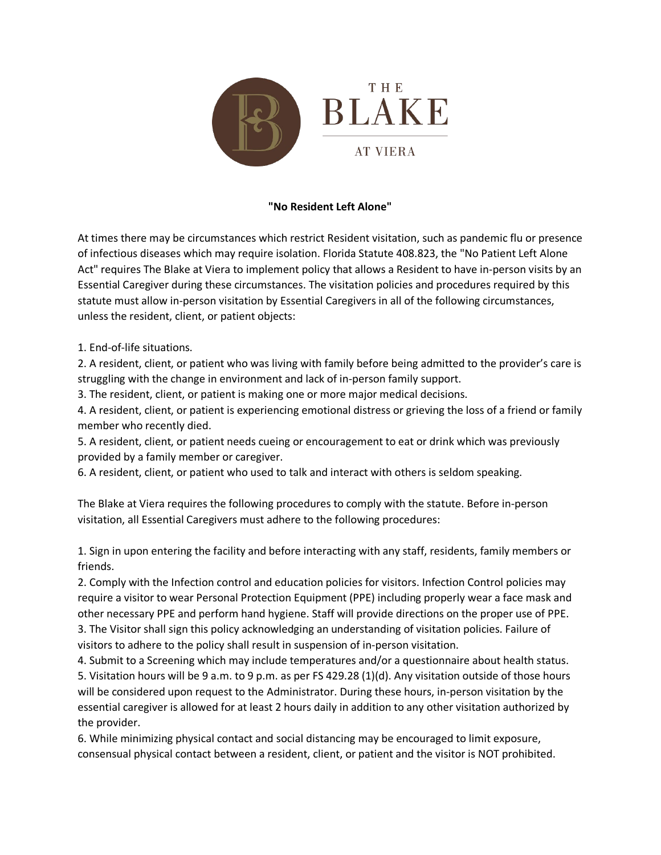

## **"No Resident Left Alone"**

At times there may be circumstances which restrict Resident visitation, such as pandemic flu or presence of infectious diseases which may require isolation. Florida Statute 408.823, the "No Patient Left Alone Act" requires The Blake at Viera to implement policy that allows a Resident to have in-person visits by an Essential Caregiver during these circumstances. The visitation policies and procedures required by this statute must allow in-person visitation by Essential Caregivers in all of the following circumstances, unless the resident, client, or patient objects:

1. End-of-life situations.

2. A resident, client, or patient who was living with family before being admitted to the provider's care is struggling with the change in environment and lack of in-person family support.

3. The resident, client, or patient is making one or more major medical decisions.

4. A resident, client, or patient is experiencing emotional distress or grieving the loss of a friend or family member who recently died.

5. A resident, client, or patient needs cueing or encouragement to eat or drink which was previously provided by a family member or caregiver.

6. A resident, client, or patient who used to talk and interact with others is seldom speaking.

The Blake at Viera requires the following procedures to comply with the statute. Before in-person visitation, all Essential Caregivers must adhere to the following procedures:

1. Sign in upon entering the facility and before interacting with any staff, residents, family members or friends.

2. Comply with the Infection control and education policies for visitors. Infection Control policies may require a visitor to wear Personal Protection Equipment (PPE) including properly wear a face mask and other necessary PPE and perform hand hygiene. Staff will provide directions on the proper use of PPE.

3. The Visitor shall sign this policy acknowledging an understanding of visitation policies. Failure of visitors to adhere to the policy shall result in suspension of in-person visitation.

4. Submit to a Screening which may include temperatures and/or a questionnaire about health status. 5. Visitation hours will be 9 a.m. to 9 p.m. as per FS 429.28 (1)(d). Any visitation outside of those hours will be considered upon request to the Administrator. During these hours, in-person visitation by the essential caregiver is allowed for at least 2 hours daily in addition to any other visitation authorized by the provider.

6. While minimizing physical contact and social distancing may be encouraged to limit exposure, consensual physical contact between a resident, client, or patient and the visitor is NOT prohibited.